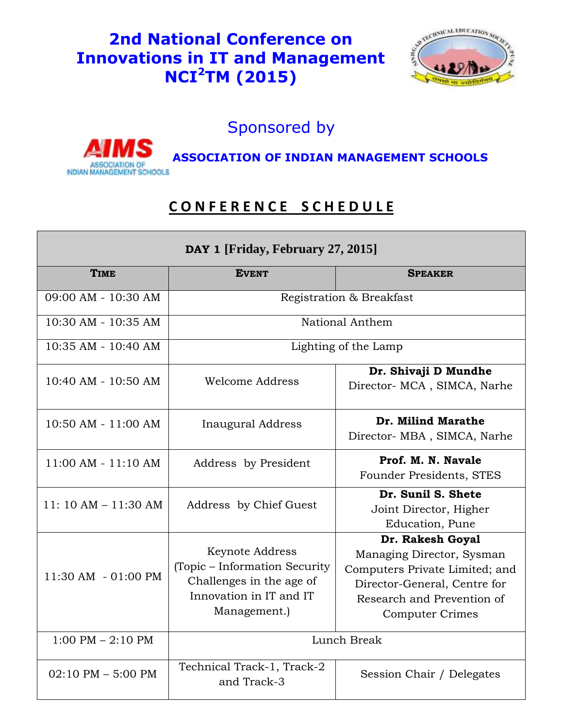## **2nd National Conference on Innovations in IT and Management NCI<sup>2</sup>TM (2015)**



## Sponsored by



**ASSOCIATION OF INDIAN MANAGEMENT SCHOOLS** 

## **C O N F E R E N C E S C H E D U L E**

| DAY 1 [Friday, February 27, 2015]   |                                                                                                                                |                                                                                                                                                                         |  |
|-------------------------------------|--------------------------------------------------------------------------------------------------------------------------------|-------------------------------------------------------------------------------------------------------------------------------------------------------------------------|--|
| <b>TIME</b>                         | <b>EVENT</b>                                                                                                                   | <b>SPEAKER</b>                                                                                                                                                          |  |
| 09:00 AM - 10:30 AM                 | Registration & Breakfast                                                                                                       |                                                                                                                                                                         |  |
| 10:30 AM - 10:35 AM                 | National Anthem                                                                                                                |                                                                                                                                                                         |  |
| 10:35 AM - 10:40 AM                 | Lighting of the Lamp                                                                                                           |                                                                                                                                                                         |  |
| 10:40 AM - 10:50 AM                 | <b>Welcome Address</b>                                                                                                         | Dr. Shivaji D Mundhe<br>Director- MCA, SIMCA, Narhe                                                                                                                     |  |
| $10:50$ AM $- 11:00$ AM             | <b>Inaugural Address</b>                                                                                                       | Dr. Milind Marathe<br>Director-MBA, SIMCA, Narhe                                                                                                                        |  |
| $11:00$ AM - $11:10$ AM             | Address by President                                                                                                           | Prof. M. N. Navale<br>Founder Presidents, STES                                                                                                                          |  |
| $11:10AM - 11:30AM$                 | Address by Chief Guest                                                                                                         | Dr. Sunil S. Shete<br>Joint Director, Higher<br>Education, Pune                                                                                                         |  |
| 11:30 AM - 01:00 PM                 | <b>Keynote Address</b><br>(Topic - Information Security<br>Challenges in the age of<br>Innovation in IT and IT<br>Management.) | Dr. Rakesh Goyal<br>Managing Director, Sysman<br>Computers Private Limited; and<br>Director-General, Centre for<br>Research and Prevention of<br><b>Computer Crimes</b> |  |
| $1:00 \text{ PM} - 2:10 \text{ PM}$ | Lunch Break                                                                                                                    |                                                                                                                                                                         |  |
| $02:10$ PM $-$ 5:00 PM              | Technical Track-1, Track-2<br>and Track-3                                                                                      | Session Chair / Delegates                                                                                                                                               |  |